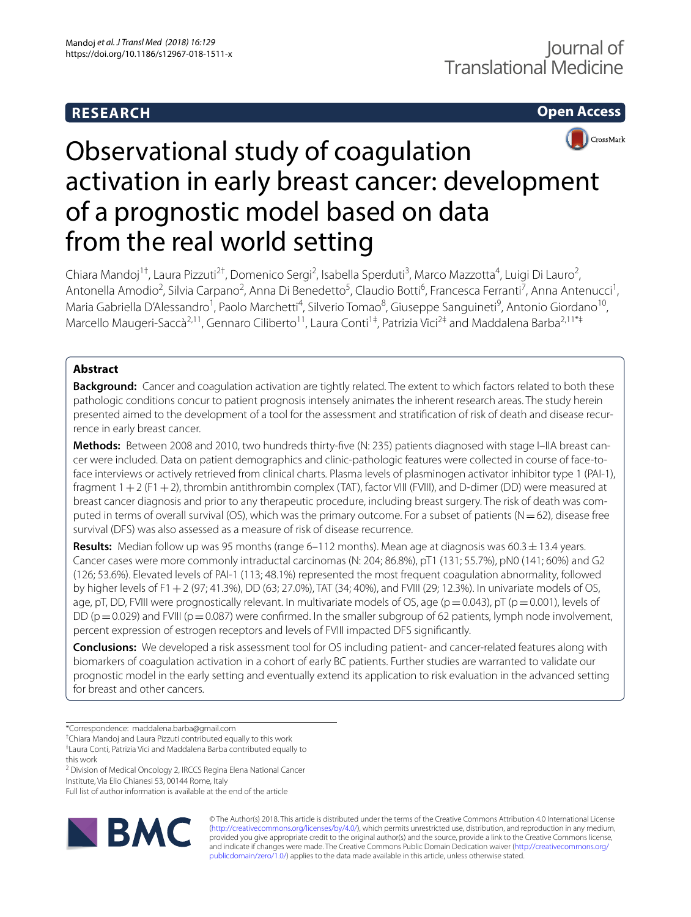## **RESEARCH**

**Open Access**



# Observational study of coagulation activation in early breast cancer: development of a prognostic model based on data from the real world setting

Chiara Mandoj<sup>1†</sup>, Laura Pizzuti<sup>2†</sup>, Domenico Sergi<sup>2</sup>, Isabella Sperduti<sup>3</sup>, Marco Mazzotta<sup>4</sup>, Luigi Di Lauro<sup>2</sup>, Antonella Amodio<sup>2</sup>, Silvia Carpano<sup>2</sup>, Anna Di Benedetto<sup>5</sup>, Claudio Botti<sup>6</sup>, Francesca Ferranti<sup>7</sup>, Anna Antenucci<sup>1</sup>, Maria Gabriella D'Alessandro<sup>1</sup>, Paolo Marchetti<sup>4</sup>, Silverio Tomao<sup>8</sup>, Giuseppe Sanguineti<sup>9</sup>, Antonio Giordano<sup>10</sup>, Marcello Maugeri-Saccà<sup>2,11</sup>, Gennaro Ciliberto<sup>11</sup>, Laura Conti<sup>1‡</sup>, Patrizia Vici<sup>2‡</sup> and Maddalena Barba<sup>2,11\*‡</sup>

## **Abstract**

**Background:** Cancer and coagulation activation are tightly related. The extent to which factors related to both these pathologic conditions concur to patient prognosis intensely animates the inherent research areas. The study herein presented aimed to the development of a tool for the assessment and stratification of risk of death and disease recurrence in early breast cancer.

**Methods:** Between 2008 and 2010, two hundreds thirty-five (N: 235) patients diagnosed with stage I–IIA breast cancer were included. Data on patient demographics and clinic-pathologic features were collected in course of face-toface interviews or actively retrieved from clinical charts. Plasma levels of plasminogen activator inhibitor type 1 (PAI-1), fragment 1+2 (F1+2), thrombin antithrombin complex (TAT), factor VIII (FVIII), and D-dimer (DD) were measured at breast cancer diagnosis and prior to any therapeutic procedure, including breast surgery. The risk of death was computed in terms of overall survival (OS), which was the primary outcome. For a subset of patients ( $N=62$ ), disease free survival (DFS) was also assessed as a measure of risk of disease recurrence.

**Results:** Median follow up was 95 months (range 6–112 months). Mean age at diagnosis was 60.3  $\pm$ 13.4 years. Cancer cases were more commonly intraductal carcinomas (N: 204; 86.8%), pT1 (131; 55.7%), pN0 (141; 60%) and G2 (126; 53.6%). Elevated levels of PAI-1 (113; 48.1%) represented the most frequent coagulation abnormality, followed by higher levels of F1+2 (97; 41.3%), DD (63; 27.0%), TAT (34; 40%), and FVIII (29; 12.3%). In univariate models of OS, age, pT, DD, FVIII were prognostically relevant. In multivariate models of OS, age ( $p=0.043$ ),  $pT (p=0.001)$ , levels of DD ( $p=0.029$ ) and FVIII ( $p=0.087$ ) were confirmed. In the smaller subgroup of 62 patients, lymph node involvement, percent expression of estrogen receptors and levels of FVIII impacted DFS signifcantly.

**Conclusions:** We developed a risk assessment tool for OS including patient- and cancer-related features along with biomarkers of coagulation activation in a cohort of early BC patients. Further studies are warranted to validate our prognostic model in the early setting and eventually extend its application to risk evaluation in the advanced setting for breast and other cancers.

<sup>2</sup> Division of Medical Oncology 2, IRCCS Regina Elena National Cancer

Institute, Via Elio Chianesi 53, 00144 Rome, Italy

Full list of author information is available at the end of the article



© The Author(s) 2018. This article is distributed under the terms of the Creative Commons Attribution 4.0 International License [\(http://creativecommons.org/licenses/by/4.0/\)](http://creativecommons.org/licenses/by/4.0/), which permits unrestricted use, distribution, and reproduction in any medium, provided you give appropriate credit to the original author(s) and the source, provide a link to the Creative Commons license, and indicate if changes were made. The Creative Commons Public Domain Dedication waiver ([http://creativecommons.org/](http://creativecommons.org/publicdomain/zero/1.0/) [publicdomain/zero/1.0/](http://creativecommons.org/publicdomain/zero/1.0/)) applies to the data made available in this article, unless otherwise stated.

<sup>\*</sup>Correspondence: maddalena.barba@gmail.com

<sup>†</sup> Chiara Mandoj and Laura Pizzuti contributed equally to this work

<sup>‡</sup> Laura Conti, Patrizia Vici and Maddalena Barba contributed equally to this work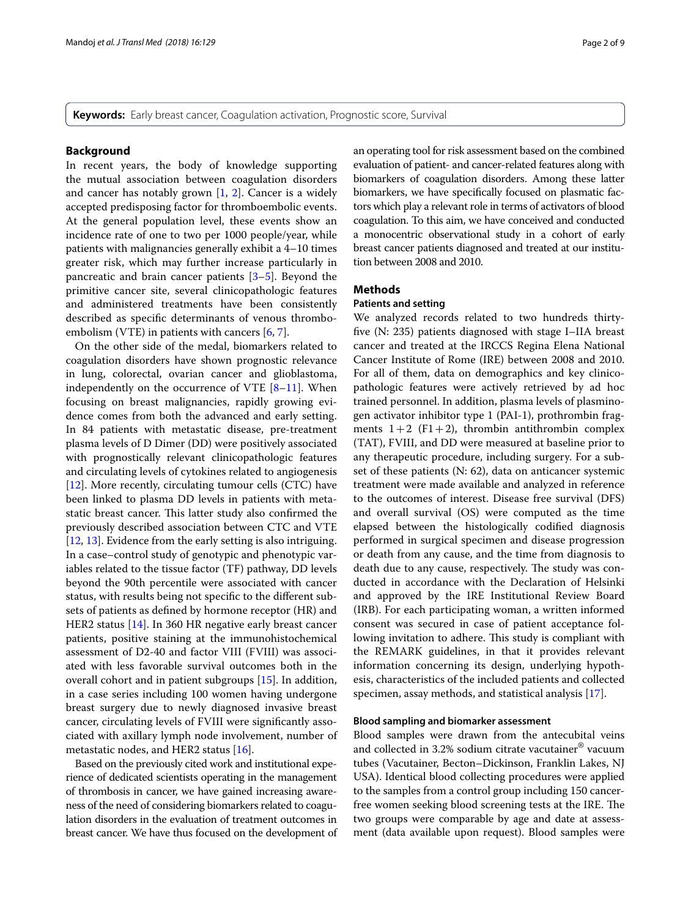**Keywords:** Early breast cancer, Coagulation activation, Prognostic score, Survival

## **Background**

In recent years, the body of knowledge supporting the mutual association between coagulation disorders and cancer has notably grown [\[1](#page-7-0), [2\]](#page-7-1). Cancer is a widely accepted predisposing factor for thromboembolic events. At the general population level, these events show an incidence rate of one to two per 1000 people/year, while patients with malignancies generally exhibit a 4–10 times greater risk, which may further increase particularly in pancreatic and brain cancer patients [[3](#page-7-2)[–5](#page-7-3)]. Beyond the primitive cancer site, several clinicopathologic features and administered treatments have been consistently described as specifc determinants of venous thromboembolism (VTE) in patients with cancers [[6,](#page-7-4) [7](#page-7-5)].

On the other side of the medal, biomarkers related to coagulation disorders have shown prognostic relevance in lung, colorectal, ovarian cancer and glioblastoma, independently on the occurrence of VTE [[8–](#page-7-6)[11](#page-8-0)]. When focusing on breast malignancies, rapidly growing evidence comes from both the advanced and early setting. In 84 patients with metastatic disease, pre-treatment plasma levels of D Dimer (DD) were positively associated with prognostically relevant clinicopathologic features and circulating levels of cytokines related to angiogenesis [[12\]](#page-8-1). More recently, circulating tumour cells (CTC) have been linked to plasma DD levels in patients with metastatic breast cancer. This latter study also confirmed the previously described association between CTC and VTE [[12,](#page-8-1) [13](#page-8-2)]. Evidence from the early setting is also intriguing. In a case–control study of genotypic and phenotypic variables related to the tissue factor (TF) pathway, DD levels beyond the 90th percentile were associated with cancer status, with results being not specifc to the diferent subsets of patients as defned by hormone receptor (HR) and HER2 status [\[14](#page-8-3)]. In 360 HR negative early breast cancer patients, positive staining at the immunohistochemical assessment of D2-40 and factor VIII (FVIII) was associated with less favorable survival outcomes both in the overall cohort and in patient subgroups [[15\]](#page-8-4). In addition, in a case series including 100 women having undergone breast surgery due to newly diagnosed invasive breast cancer, circulating levels of FVIII were signifcantly associated with axillary lymph node involvement, number of metastatic nodes, and HER2 status [[16\]](#page-8-5).

Based on the previously cited work and institutional experience of dedicated scientists operating in the management of thrombosis in cancer, we have gained increasing awareness of the need of considering biomarkers related to coagulation disorders in the evaluation of treatment outcomes in breast cancer. We have thus focused on the development of an operating tool for risk assessment based on the combined evaluation of patient- and cancer-related features along with biomarkers of coagulation disorders. Among these latter biomarkers, we have specifcally focused on plasmatic factors which play a relevant role in terms of activators of blood coagulation. To this aim, we have conceived and conducted a monocentric observational study in a cohort of early breast cancer patients diagnosed and treated at our institution between 2008 and 2010.

## <span id="page-1-0"></span>**Methods**

## **Patients and setting**

We analyzed records related to two hundreds thirtyfve (N: 235) patients diagnosed with stage I–IIA breast cancer and treated at the IRCCS Regina Elena National Cancer Institute of Rome (IRE) between 2008 and 2010. For all of them, data on demographics and key clinicopathologic features were actively retrieved by ad hoc trained personnel. In addition, plasma levels of plasminogen activator inhibitor type 1 (PAI-1), prothrombin fragments  $1+2$  (F1+2), thrombin antithrombin complex (TAT), FVIII, and DD were measured at baseline prior to any therapeutic procedure, including surgery. For a subset of these patients (N: 62), data on anticancer systemic treatment were made available and analyzed in reference to the outcomes of interest. Disease free survival (DFS) and overall survival (OS) were computed as the time elapsed between the histologically codifed diagnosis performed in surgical specimen and disease progression or death from any cause, and the time from diagnosis to death due to any cause, respectively. The study was conducted in accordance with the Declaration of Helsinki and approved by the IRE Institutional Review Board (IRB). For each participating woman, a written informed consent was secured in case of patient acceptance following invitation to adhere. This study is compliant with the REMARK guidelines, in that it provides relevant information concerning its design, underlying hypothesis, characteristics of the included patients and collected specimen, assay methods, and statistical analysis [[17\]](#page-8-6).

#### **Blood sampling and biomarker assessment**

Blood samples were drawn from the antecubital veins and collected in 3.2% sodium citrate vacutainer® vacuum tubes (Vacutainer, Becton–Dickinson, Franklin Lakes, NJ USA). Identical blood collecting procedures were applied to the samples from a control group including 150 cancerfree women seeking blood screening tests at the IRE. The two groups were comparable by age and date at assessment (data available upon request). Blood samples were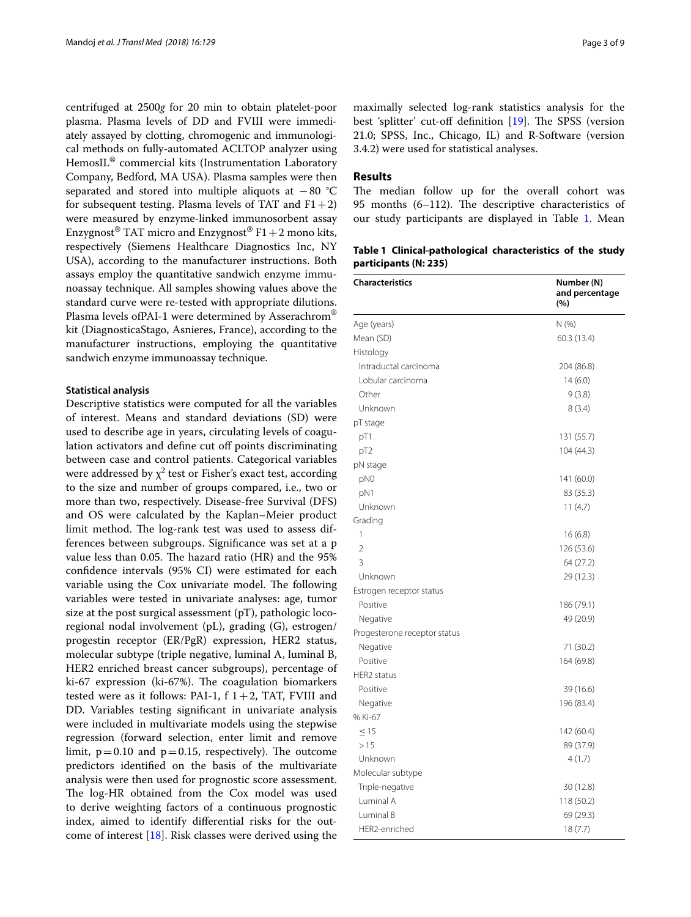centrifuged at 2500*g* for 20 min to obtain platelet-poor plasma. Plasma levels of DD and FVIII were immediately assayed by clotting, chromogenic and immunological methods on fully-automated ACLTOP analyzer using HemosIL® commercial kits (Instrumentation Laboratory Company, Bedford, MA USA). Plasma samples were then separated and stored into multiple aliquots at  $-80$  °C for subsequent testing. Plasma levels of TAT and  $F1+2$ ) were measured by enzyme-linked immunosorbent assay Enzygnost<sup>®</sup> TAT micro and Enzygnost<sup>®</sup> F1 + 2 mono kits, respectively (Siemens Healthcare Diagnostics Inc, NY USA), according to the manufacturer instructions. Both assays employ the quantitative sandwich enzyme immunoassay technique. All samples showing values above the standard curve were re-tested with appropriate dilutions. Plasma levels ofPAI-1 were determined by Asserachrom® kit (DiagnosticaStago, Asnieres, France), according to the manufacturer instructions, employing the quantitative sandwich enzyme immunoassay technique.

### **Statistical analysis**

Descriptive statistics were computed for all the variables of interest. Means and standard deviations (SD) were used to describe age in years, circulating levels of coagulation activators and define cut off points discriminating between case and control patients. Categorical variables were addressed by  $\chi^2$  test or Fisher's exact test, according to the size and number of groups compared, i.e., two or more than two, respectively. Disease-free Survival (DFS) and OS were calculated by the Kaplan–Meier product limit method. The log-rank test was used to assess differences between subgroups. Signifcance was set at a p value less than 0.05. The hazard ratio (HR) and the  $95\%$ confdence intervals (95% CI) were estimated for each variable using the Cox univariate model. The following variables were tested in univariate analyses: age, tumor size at the post surgical assessment (pT), pathologic locoregional nodal involvement (pL), grading (G), estrogen/ progestin receptor (ER/PgR) expression, HER2 status, molecular subtype (triple negative, luminal A, luminal B, HER2 enriched breast cancer subgroups), percentage of ki-67 expression (ki-67%). The coagulation biomarkers tested were as it follows: PAI-1,  $f$  1+2, TAT, FVIII and DD. Variables testing signifcant in univariate analysis were included in multivariate models using the stepwise regression (forward selection, enter limit and remove limit,  $p=0.10$  and  $p=0.15$ , respectively). The outcome predictors identifed on the basis of the multivariate analysis were then used for prognostic score assessment. The log-HR obtained from the Cox model was used to derive weighting factors of a continuous prognostic index, aimed to identify diferential risks for the outcome of interest [\[18\]](#page-8-7). Risk classes were derived using the

maximally selected log-rank statistics analysis for the best 'splitter' cut-off definition  $[19]$  $[19]$ . The SPSS (version 21.0; SPSS, Inc., Chicago, IL) and R-Software (version 3.4.2) were used for statistical analyses.

## <span id="page-2-1"></span>**Results**

The median follow up for the overall cohort was 95 months  $(6-112)$ . The descriptive characteristics of our study participants are displayed in Table [1](#page-2-0). Mean

## <span id="page-2-0"></span>**Table 1 Clinical-pathological characteristics of the study participants (N: 235)**

| <b>Characteristics</b>       | Number (N)<br>and percentage<br>(%) |  |
|------------------------------|-------------------------------------|--|
| Age (years)                  | N(% )                               |  |
| Mean (SD)                    | 60.3 (13.4)                         |  |
| Histology                    |                                     |  |
| Intraductal carcinoma        | 204 (86.8)                          |  |
| Lobular carcinoma            | 14(6.0)                             |  |
| Other                        | 9(3.8)                              |  |
| Unknown                      | 8(3.4)                              |  |
| pT stage                     |                                     |  |
| pT1                          | 131 (55.7)                          |  |
| pT <sub>2</sub>              | 104 (44.3)                          |  |
| pN stage                     |                                     |  |
| pN0                          | 141 (60.0)                          |  |
| pN1                          | 83 (35.3)                           |  |
| Unknown                      | 11(4.7)                             |  |
| Grading                      |                                     |  |
| 1                            | 16(6.8)                             |  |
| $\overline{2}$               | 126 (53.6)                          |  |
| 3                            | 64 (27.2)                           |  |
| Unknown                      | 29 (12.3)                           |  |
| Estrogen receptor status     |                                     |  |
| Positive                     | 186 (79.1)                          |  |
| Negative                     | 49 (20.9)                           |  |
| Progesterone receptor status |                                     |  |
| Negative                     | 71 (30.2)                           |  |
| Positive                     | 164 (69.8)                          |  |
| <b>HER2</b> status           |                                     |  |
| Positive                     | 39 (16.6)                           |  |
| Negative                     | 196 (83.4)                          |  |
| % Ki-67                      |                                     |  |
| $\leq$ 15                    | 142 (60.4)                          |  |
| >15                          | 89 (37.9)                           |  |
| Unknown                      | 4(1.7)                              |  |
| Molecular subtype            |                                     |  |
| Triple-negative              | 30 (12.8)                           |  |
| Luminal A                    | 118 (50.2)                          |  |
| Luminal B                    | 69 (29.3)                           |  |
| HER2-enriched                | 18(7.7)                             |  |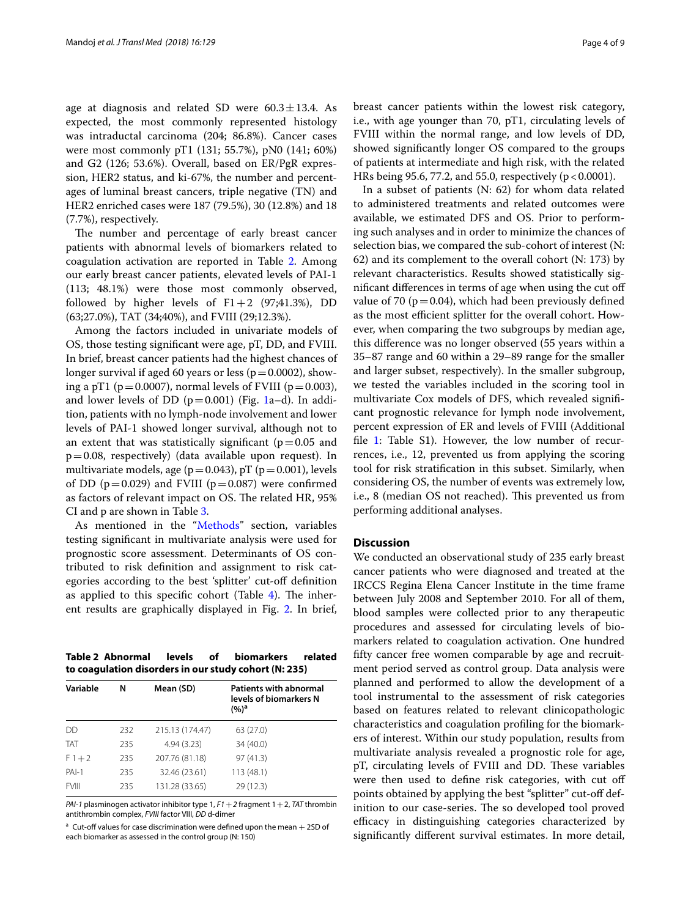age at diagnosis and related SD were  $60.3 \pm 13.4$ . As expected, the most commonly represented histology was intraductal carcinoma (204; 86.8%). Cancer cases were most commonly pT1 (131; 55.7%), pN0 (141; 60%) and G2 (126; 53.6%). Overall, based on ER/PgR expression, HER2 status, and ki-67%, the number and percentages of luminal breast cancers, triple negative (TN) and HER2 enriched cases were 187 (79.5%), 30 (12.8%) and 18 (7.7%), respectively.

The number and percentage of early breast cancer patients with abnormal levels of biomarkers related to coagulation activation are reported in Table [2.](#page-3-0) Among our early breast cancer patients, elevated levels of PAI-1 (113; 48.1%) were those most commonly observed, followed by higher levels of  $F1+2$  (97;41.3%), DD (63;27.0%), TAT (34;40%), and FVIII (29;12.3%).

Among the factors included in univariate models of OS, those testing signifcant were age, pT, DD, and FVIII. In brief, breast cancer patients had the highest chances of longer survival if aged 60 years or less ( $p=0.0002$ ), showing a pT1 ( $p = 0.0007$ ), normal levels of FVIII ( $p = 0.003$ ), and lower levels of DD  $(p=0.001)$  $(p=0.001)$  $(p=0.001)$  (Fig. 1a–d). In addition, patients with no lymph-node involvement and lower levels of PAI-1 showed longer survival, although not to an extent that was statistically significant ( $p=0.05$  and  $p=0.08$ , respectively) (data available upon request). In multivariate models, age ( $p=0.043$ ), pT ( $p=0.001$ ), levels of DD ( $p=0.029$ ) and FVIII ( $p=0.087$ ) were confirmed as factors of relevant impact on OS. The related HR, 95% CI and p are shown in Table [3](#page-4-1).

As mentioned in the "[Methods"](#page-1-0) section, variables testing signifcant in multivariate analysis were used for prognostic score assessment. Determinants of OS contributed to risk defnition and assignment to risk categories according to the best 'splitter' cut-of defnition as applied to this specific cohort (Table  $4$ ). The inherent results are graphically displayed in Fig. [2.](#page-5-1) In brief,

<span id="page-3-0"></span>**Table 2 Abnormal levels of biomarkers related to coagulation disorders in our study cohort (N: 235)**

| Variable     | N   | Mean (SD)       | <b>Patients with abnormal</b><br>levels of biomarkers N<br>$(%)^a$ |
|--------------|-----|-----------------|--------------------------------------------------------------------|
| DD           | 232 | 215.13 (174.47) | 63 (27.0)                                                          |
| <b>TAT</b>   | 235 | 4.94(3.23)      | 34 (40.0)                                                          |
| $F1+2$       | 235 | 207.76 (81.18)  | 97(41.3)                                                           |
| $PAI-1$      | 235 | 32.46 (23.61)   | 113 (48.1)                                                         |
| <b>FVIII</b> | 235 | 131.28 (33.65)  | 29 (12.3)                                                          |

*PAI-1* plasminogen activator inhibitor type 1, *F1*+*2* fragment 1+2, *TAT* thrombin antithrombin complex, *FVIII* factor VIII, *DD* d-dimer

Cut-off values for case discrimination were defined upon the mean  $+$  2SD of each biomarker as assessed in the control group (N: 150)

breast cancer patients within the lowest risk category, i.e., with age younger than 70, pT1, circulating levels of FVIII within the normal range, and low levels of DD, showed signifcantly longer OS compared to the groups of patients at intermediate and high risk, with the related HRs being 95.6, 77.2, and 55.0, respectively ( $p < 0.0001$ ).

In a subset of patients (N: 62) for whom data related to administered treatments and related outcomes were available, we estimated DFS and OS. Prior to performing such analyses and in order to minimize the chances of selection bias, we compared the sub-cohort of interest (N: 62) and its complement to the overall cohort (N: 173) by relevant characteristics. Results showed statistically signifcant diferences in terms of age when using the cut of value of 70 ( $p=0.04$ ), which had been previously defined as the most efficient splitter for the overall cohort. However, when comparing the two subgroups by median age, this diference was no longer observed (55 years within a 35–87 range and 60 within a 29–89 range for the smaller and larger subset, respectively). In the smaller subgroup, we tested the variables included in the scoring tool in multivariate Cox models of DFS, which revealed signifcant prognostic relevance for lymph node involvement, percent expression of ER and levels of FVIII (Additional file [1](#page-7-7): Table S1). However, the low number of recurrences, i.e., 12, prevented us from applying the scoring tool for risk stratifcation in this subset. Similarly, when considering OS, the number of events was extremely low, i.e., 8 (median OS not reached). This prevented us from performing additional analyses.

## **Discussion**

We conducted an observational study of 235 early breast cancer patients who were diagnosed and treated at the IRCCS Regina Elena Cancer Institute in the time frame between July 2008 and September 2010. For all of them, blood samples were collected prior to any therapeutic procedures and assessed for circulating levels of biomarkers related to coagulation activation. One hundred ffty cancer free women comparable by age and recruitment period served as control group. Data analysis were planned and performed to allow the development of a tool instrumental to the assessment of risk categories based on features related to relevant clinicopathologic characteristics and coagulation profling for the biomarkers of interest. Within our study population, results from multivariate analysis revealed a prognostic role for age, pT, circulating levels of FVIII and DD. These variables were then used to defne risk categories, with cut of points obtained by applying the best "splitter" cut-of definition to our case-series. The so developed tool proved efficacy in distinguishing categories characterized by signifcantly diferent survival estimates. In more detail,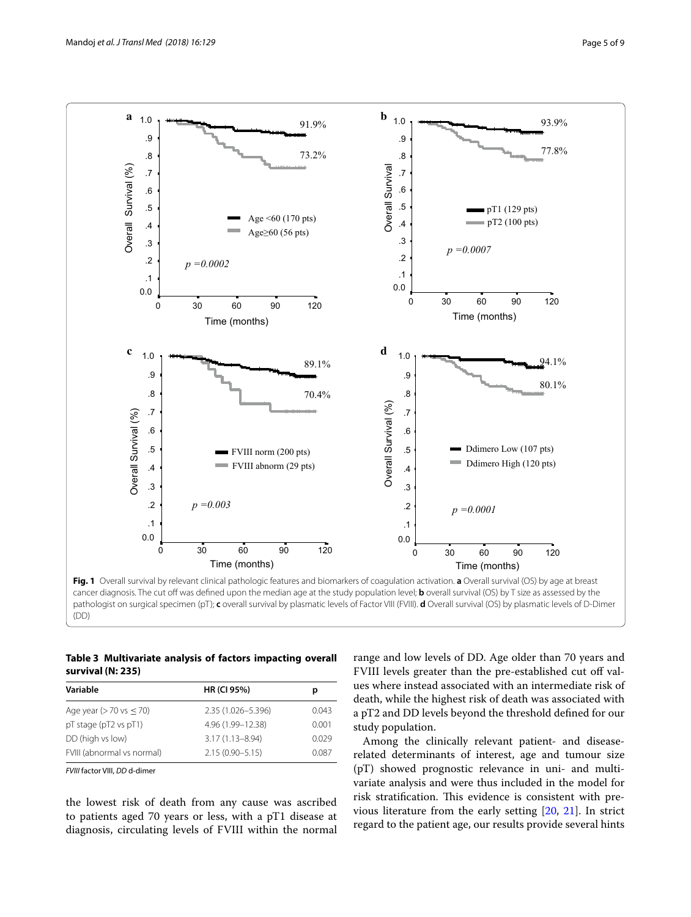

<span id="page-4-0"></span>cancer diagnosis. The cut off was defined upon the median age at the study population level; **b** overall survival (OS) by T size as assessed by the pathologist on surgical specimen (pT); **c** overall survival by plasmatic levels of Factor VIII (FVIII). **d** Overall survival (OS) by plasmatic levels of D-Dimer (DD)

## <span id="page-4-1"></span>**Table 3 Multivariate analysis of factors impacting overall survival (N: 235)**

| Variable                        | <b>HR (CI 95%)</b>  | р     |
|---------------------------------|---------------------|-------|
| Age year ( $>$ 70 vs $\leq$ 70) | 2.35 (1.026-5.396)  | 0.043 |
| $pT$ stage ( $pT2$ vs $pT1$ )   | 4.96 (1.99-12.38)   | 0.001 |
| DD (high vs low)                | 3.17 (1.13-8.94)    | 0.029 |
| FVIII (abnormal vs normal)      | $2.15(0.90 - 5.15)$ | 0.087 |

*FVIII* factor VIII, *DD* d-dimer

the lowest risk of death from any cause was ascribed to patients aged 70 years or less, with a pT1 disease at diagnosis, circulating levels of FVIII within the normal range and low levels of DD. Age older than 70 years and FVIII levels greater than the pre-established cut off values where instead associated with an intermediate risk of death, while the highest risk of death was associated with a pT2 and DD levels beyond the threshold defned for our study population.

Among the clinically relevant patient- and diseaserelated determinants of interest, age and tumour size (pT) showed prognostic relevance in uni- and multivariate analysis and were thus included in the model for risk stratification. This evidence is consistent with previous literature from the early setting [\[20,](#page-8-9) [21\]](#page-8-10). In strict regard to the patient age, our results provide several hints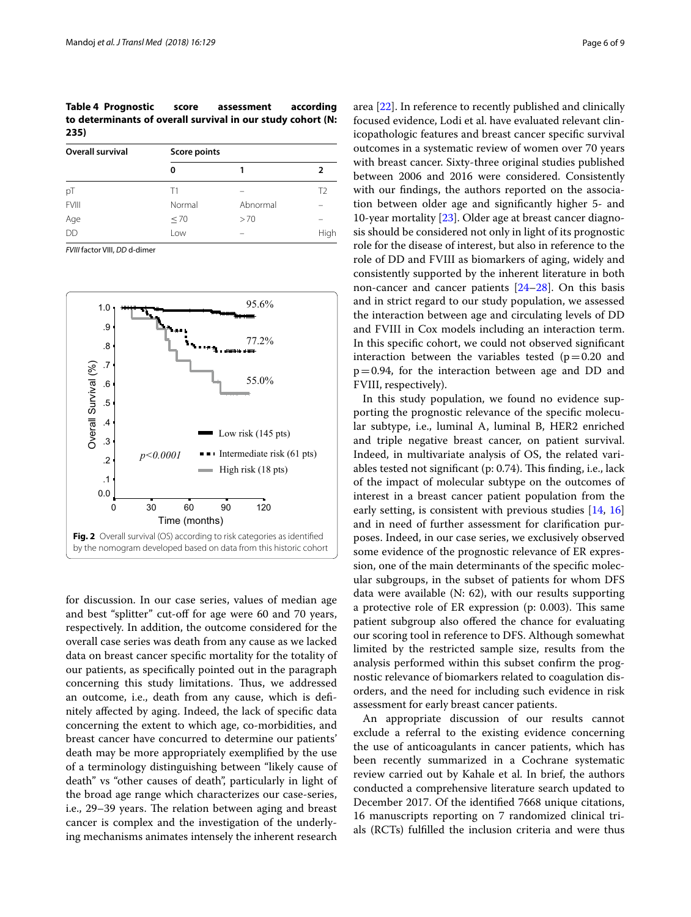<span id="page-5-0"></span>**Table 4 Prognostic score assessment according to determinants of overall survival in our study cohort (N: 235)**

| Overall survival | Score points |          |      |
|------------------|--------------|----------|------|
|                  | 0            |          | 2    |
| рT               | Τ1           |          | T2   |
| <b>FVIII</b>     | Normal       | Abnormal |      |
| Age              | < 70         | >70      |      |
| <b>DD</b>        | Low          |          | High |

*FVIII* factor VIII, *DD* d-dimer



<span id="page-5-1"></span>for discussion. In our case series, values of median age and best "splitter" cut-off for age were 60 and 70 years, respectively. In addition, the outcome considered for the overall case series was death from any cause as we lacked data on breast cancer specifc mortality for the totality of our patients, as specifcally pointed out in the paragraph concerning this study limitations. Thus, we addressed an outcome, i.e., death from any cause, which is defnitely afected by aging. Indeed, the lack of specifc data concerning the extent to which age, co-morbidities, and breast cancer have concurred to determine our patients' death may be more appropriately exemplifed by the use of a terminology distinguishing between "likely cause of death" vs "other causes of death", particularly in light of the broad age range which characterizes our case-series, i.e., 29–39 years. The relation between aging and breast cancer is complex and the investigation of the underlying mechanisms animates intensely the inherent research area [\[22](#page-8-11)]. In reference to recently published and clinically focused evidence, Lodi et al. have evaluated relevant clinicopathologic features and breast cancer specifc survival outcomes in a systematic review of women over 70 years with breast cancer. Sixty-three original studies published between 2006 and 2016 were considered. Consistently with our fndings, the authors reported on the association between older age and signifcantly higher 5- and 10-year mortality [\[23](#page-8-12)]. Older age at breast cancer diagnosis should be considered not only in light of its prognostic role for the disease of interest, but also in reference to the role of DD and FVIII as biomarkers of aging, widely and consistently supported by the inherent literature in both non-cancer and cancer patients  $[24-28]$  $[24-28]$ . On this basis and in strict regard to our study population, we assessed the interaction between age and circulating levels of DD and FVIII in Cox models including an interaction term. In this specifc cohort, we could not observed signifcant interaction between the variables tested  $(p=0.20$  and  $p=0.94$ , for the interaction between age and DD and FVIII, respectively).

In this study population, we found no evidence supporting the prognostic relevance of the specifc molecular subtype, i.e., luminal A, luminal B, HER2 enriched and triple negative breast cancer, on patient survival. Indeed, in multivariate analysis of OS, the related variables tested not significant (p: 0.74). This finding, i.e., lack of the impact of molecular subtype on the outcomes of interest in a breast cancer patient population from the early setting, is consistent with previous studies [\[14](#page-8-3), [16](#page-8-5)] and in need of further assessment for clarifcation purposes. Indeed, in our case series, we exclusively observed some evidence of the prognostic relevance of ER expression, one of the main determinants of the specifc molecular subgroups, in the subset of patients for whom DFS data were available (N: 62), with our results supporting a protective role of ER expression (p: 0.003). This same patient subgroup also offered the chance for evaluating our scoring tool in reference to DFS. Although somewhat limited by the restricted sample size, results from the analysis performed within this subset confrm the prognostic relevance of biomarkers related to coagulation disorders, and the need for including such evidence in risk assessment for early breast cancer patients.

An appropriate discussion of our results cannot exclude a referral to the existing evidence concerning the use of anticoagulants in cancer patients, which has been recently summarized in a Cochrane systematic review carried out by Kahale et al. In brief, the authors conducted a comprehensive literature search updated to December 2017. Of the identifed 7668 unique citations, 16 manuscripts reporting on 7 randomized clinical trials (RCTs) fulflled the inclusion criteria and were thus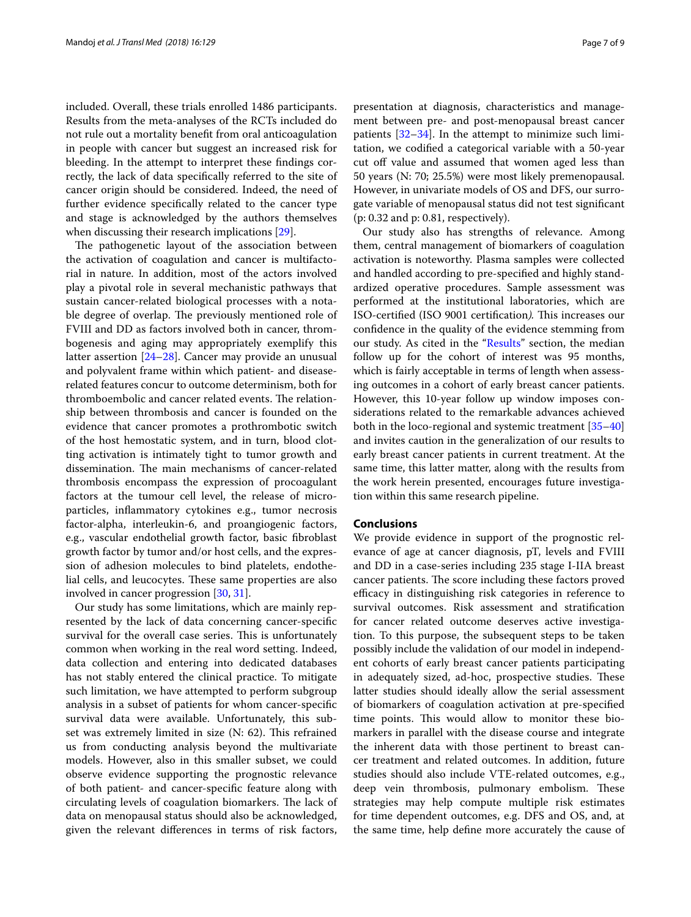included. Overall, these trials enrolled 1486 participants. Results from the meta-analyses of the RCTs included do not rule out a mortality beneft from oral anticoagulation in people with cancer but suggest an increased risk for bleeding. In the attempt to interpret these fndings correctly, the lack of data specifcally referred to the site of cancer origin should be considered. Indeed, the need of further evidence specifcally related to the cancer type and stage is acknowledged by the authors themselves when discussing their research implications [\[29\]](#page-8-15).

The pathogenetic layout of the association between the activation of coagulation and cancer is multifactorial in nature. In addition, most of the actors involved play a pivotal role in several mechanistic pathways that sustain cancer-related biological processes with a notable degree of overlap. The previously mentioned role of FVIII and DD as factors involved both in cancer, thrombogenesis and aging may appropriately exemplify this latter assertion [[24](#page-8-13)[–28](#page-8-14)]. Cancer may provide an unusual and polyvalent frame within which patient- and diseaserelated features concur to outcome determinism, both for thromboembolic and cancer related events. The relationship between thrombosis and cancer is founded on the evidence that cancer promotes a prothrombotic switch of the host hemostatic system, and in turn, blood clotting activation is intimately tight to tumor growth and dissemination. The main mechanisms of cancer-related thrombosis encompass the expression of procoagulant factors at the tumour cell level, the release of microparticles, infammatory cytokines e.g., tumor necrosis factor-alpha, interleukin-6, and proangiogenic factors, e.g., vascular endothelial growth factor, basic fbroblast growth factor by tumor and/or host cells, and the expression of adhesion molecules to bind platelets, endothelial cells, and leucocytes. These same properties are also involved in cancer progression [[30,](#page-8-16) [31](#page-8-17)].

Our study has some limitations, which are mainly represented by the lack of data concerning cancer-specifc survival for the overall case series. This is unfortunately common when working in the real word setting. Indeed, data collection and entering into dedicated databases has not stably entered the clinical practice. To mitigate such limitation, we have attempted to perform subgroup analysis in a subset of patients for whom cancer-specifc survival data were available. Unfortunately, this subset was extremely limited in size  $(N: 62)$ . This refrained us from conducting analysis beyond the multivariate models. However, also in this smaller subset, we could observe evidence supporting the prognostic relevance of both patient- and cancer-specifc feature along with circulating levels of coagulation biomarkers. The lack of data on menopausal status should also be acknowledged, given the relevant diferences in terms of risk factors, presentation at diagnosis, characteristics and management between pre- and post-menopausal breast cancer patients  $[32-34]$  $[32-34]$ . In the attempt to minimize such limitation, we codifed a categorical variable with a 50-year cut off value and assumed that women aged less than 50 years (N: 70; 25.5%) were most likely premenopausal. However, in univariate models of OS and DFS, our surrogate variable of menopausal status did not test signifcant (p: 0.32 and p: 0.81, respectively).

Our study also has strengths of relevance. Among them, central management of biomarkers of coagulation activation is noteworthy. Plasma samples were collected and handled according to pre-specifed and highly standardized operative procedures. Sample assessment was performed at the institutional laboratories, which are ISO-certified (ISO 9001 certification). This increases our confdence in the quality of the evidence stemming from our study. As cited in the "[Results](#page-2-1)" section, the median follow up for the cohort of interest was 95 months, which is fairly acceptable in terms of length when assessing outcomes in a cohort of early breast cancer patients. However, this 10-year follow up window imposes considerations related to the remarkable advances achieved both in the loco-regional and systemic treatment [[35–](#page-8-20)[40](#page-8-21)] and invites caution in the generalization of our results to early breast cancer patients in current treatment. At the same time, this latter matter, along with the results from the work herein presented, encourages future investigation within this same research pipeline.

## **Conclusions**

We provide evidence in support of the prognostic relevance of age at cancer diagnosis, pT, levels and FVIII and DD in a case-series including 235 stage I-IIA breast cancer patients. The score including these factors proved efficacy in distinguishing risk categories in reference to survival outcomes. Risk assessment and stratifcation for cancer related outcome deserves active investigation. To this purpose, the subsequent steps to be taken possibly include the validation of our model in independent cohorts of early breast cancer patients participating in adequately sized, ad-hoc, prospective studies. These latter studies should ideally allow the serial assessment of biomarkers of coagulation activation at pre-specifed time points. This would allow to monitor these biomarkers in parallel with the disease course and integrate the inherent data with those pertinent to breast cancer treatment and related outcomes. In addition, future studies should also include VTE-related outcomes, e.g., deep vein thrombosis, pulmonary embolism. These strategies may help compute multiple risk estimates for time dependent outcomes, e.g. DFS and OS, and, at the same time, help defne more accurately the cause of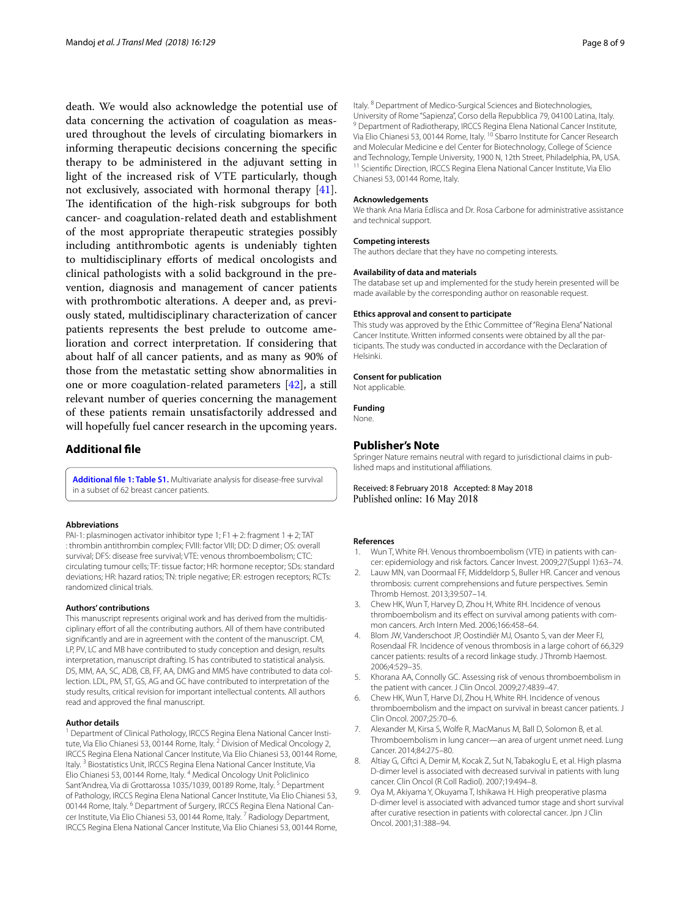death. We would also acknowledge the potential use of data concerning the activation of coagulation as measured throughout the levels of circulating biomarkers in informing therapeutic decisions concerning the specifc therapy to be administered in the adjuvant setting in light of the increased risk of VTE particularly, though not exclusively, associated with hormonal therapy [\[41](#page-8-22)]. The identification of the high-risk subgroups for both cancer- and coagulation-related death and establishment of the most appropriate therapeutic strategies possibly including antithrombotic agents is undeniably tighten to multidisciplinary eforts of medical oncologists and clinical pathologists with a solid background in the prevention, diagnosis and management of cancer patients with prothrombotic alterations. A deeper and, as previously stated, multidisciplinary characterization of cancer patients represents the best prelude to outcome amelioration and correct interpretation. If considering that about half of all cancer patients, and as many as 90% of those from the metastatic setting show abnormalities in one or more coagulation-related parameters [[42\]](#page-8-23), a still relevant number of queries concerning the management of these patients remain unsatisfactorily addressed and will hopefully fuel cancer research in the upcoming years.

## **Additional fle**

<span id="page-7-7"></span>**[Additional fle 1: Table S1.](https://doi.org/10.1186/s12967-018-1511-x)** Multivariate analysis for disease-free survival in a subset of 62 breast cancer patients.

#### **Abbreviations**

PAI-1: plasminogen activator inhibitor type 1;  $F1 + 2$ : fragment  $1 + 2$ ; TAT : thrombin antithrombin complex; FVIII: factor VIII; DD: D dimer; OS: overall survival; DFS: disease free survival; VTE: venous thromboembolism; CTC: circulating tumour cells; TF: tissue factor; HR: hormone receptor; SDs: standard deviations; HR: hazard ratios; TN: triple negative; ER: estrogen receptors; RCTs: randomized clinical trials.

#### **Authors' contributions**

This manuscript represents original work and has derived from the multidisciplinary efort of all the contributing authors. All of them have contributed signifcantly and are in agreement with the content of the manuscript. CM, LP, PV, LC and MB have contributed to study conception and design, results interpretation, manuscript drafting. IS has contributed to statistical analysis. DS, MM, AA, SC, ADB, CB, FF, AA, DMG and MMS have contributed to data collection. LDL, PM, ST, GS, AG and GC have contributed to interpretation of the study results, critical revision for important intellectual contents. All authors read and approved the fnal manuscript.

#### **Author details**

<sup>1</sup> Department of Clinical Pathology, IRCCS Regina Elena National Cancer Institute, Via Elio Chianesi 53, 00144 Rome, Italy. <sup>2</sup> Division of Medical Oncology 2, IRCCS Regina Elena National Cancer Institute, Via Elio Chianesi 53, 00144 Rome, Italy. 3 Biostatistics Unit, IRCCS Regina Elena National Cancer Institute, Via Elio Chianesi 53, 00144 Rome, Italy. <sup>4</sup> Medical Oncology Unit Policlinico Sant'Andrea, Via di Grottarossa 1035/1039, 00189 Rome, Italy. <sup>5</sup> Department of Pathology, IRCCS Regina Elena National Cancer Institute, Via Elio Chianesi 53, 00144 Rome, Italy. <sup>6</sup> Department of Surgery, IRCCS Regina Elena National Cancer Institute, Via Elio Chianesi 53, 00144 Rome, Italy.<sup>7</sup> Radiology Department, IRCCS Regina Elena National Cancer Institute, Via Elio Chianesi 53, 00144 Rome, Italy. <sup>8</sup> Department of Medico-Surgical Sciences and Biotechnologies, University of Rome "Sapienza", Corso della Repubblica 79, 04100 Latina, Italy.<br><sup>9</sup> Department of Radiotherapy, IRCCS Regina Elena National Cancer Institute, Via Elio Chianesi 53, 00144 Rome, Italy. <sup>10</sup> Sbarro Institute for Cancer Research and Molecular Medicine e del Center for Biotechnology, College of Science and Technology, Temple University, 1900 N, 12th Street, Philadelphia, PA, USA.<br><sup>11</sup> Scientific Direction, IRCCS Regina Elena National Cancer Institute, Via Elio Chianesi 53, 00144 Rome, Italy.

#### **Acknowledgements**

We thank Ana Maria Edlisca and Dr. Rosa Carbone for administrative assistance and technical support.

#### **Competing interests**

The authors declare that they have no competing interests.

#### **Availability of data and materials**

The database set up and implemented for the study herein presented will be made available by the corresponding author on reasonable request.

#### **Ethics approval and consent to participate**

This study was approved by the Ethic Committee of "Regina Elena" National Cancer Institute. Written informed consents were obtained by all the participants. The study was conducted in accordance with the Declaration of Helsinki.

#### **Consent for publication**

Not applicable.

**Funding**

None.

## **Publisher's Note**

Springer Nature remains neutral with regard to jurisdictional claims in published maps and institutional affiliations.

Received: 8 February 2018 Accepted: 8 May 2018 Published online: 16 May 2018

#### **References**

- <span id="page-7-0"></span>1. Wun T, White RH. Venous thromboembolism (VTE) in patients with cancer: epidemiology and risk factors. Cancer Invest. 2009;27(Suppl 1):63–74.
- <span id="page-7-1"></span>2. Lauw MN, van Doormaal FF, Middeldorp S, Buller HR. Cancer and venous thrombosis: current comprehensions and future perspectives. Semin Thromb Hemost. 2013;39:507–14.
- <span id="page-7-2"></span>Chew HK, Wun T, Harvey D, Zhou H, White RH. Incidence of venous thromboembolism and its effect on survival among patients with common cancers. Arch Intern Med. 2006;166:458–64.
- 4. Blom JW, Vanderschoot JP, Oostindiër MJ, Osanto S, van der Meer FJ, Rosendaal FR. Incidence of venous thrombosis in a large cohort of 66,329 cancer patients: results of a record linkage study. J Thromb Haemost. 2006;4:529–35.
- <span id="page-7-3"></span>Khorana AA, Connolly GC. Assessing risk of venous thromboembolism in the patient with cancer. J Clin Oncol. 2009;27:4839–47.
- <span id="page-7-4"></span>6. Chew HK, Wun T, Harve DJ, Zhou H, White RH. Incidence of venous thromboembolism and the impact on survival in breast cancer patients. J Clin Oncol. 2007;25:70–6.
- <span id="page-7-5"></span>7. Alexander M, Kirsa S, Wolfe R, MacManus M, Ball D, Solomon B, et al. Thromboembolism in lung cancer—an area of urgent unmet need. Lung Cancer. 2014;84:275–80.
- <span id="page-7-6"></span>Altiay G, Ciftci A, Demir M, Kocak Z, Sut N, Tabakoglu E, et al. High plasma D-dimer level is associated with decreased survival in patients with lung cancer. Clin Oncol (R Coll Radiol). 2007;19:494–8.
- 9. Oya M, Akiyama Y, Okuyama T, Ishikawa H. High preoperative plasma D-dimer level is associated with advanced tumor stage and short survival after curative resection in patients with colorectal cancer. Jpn J Clin Oncol. 2001;31:388–94.